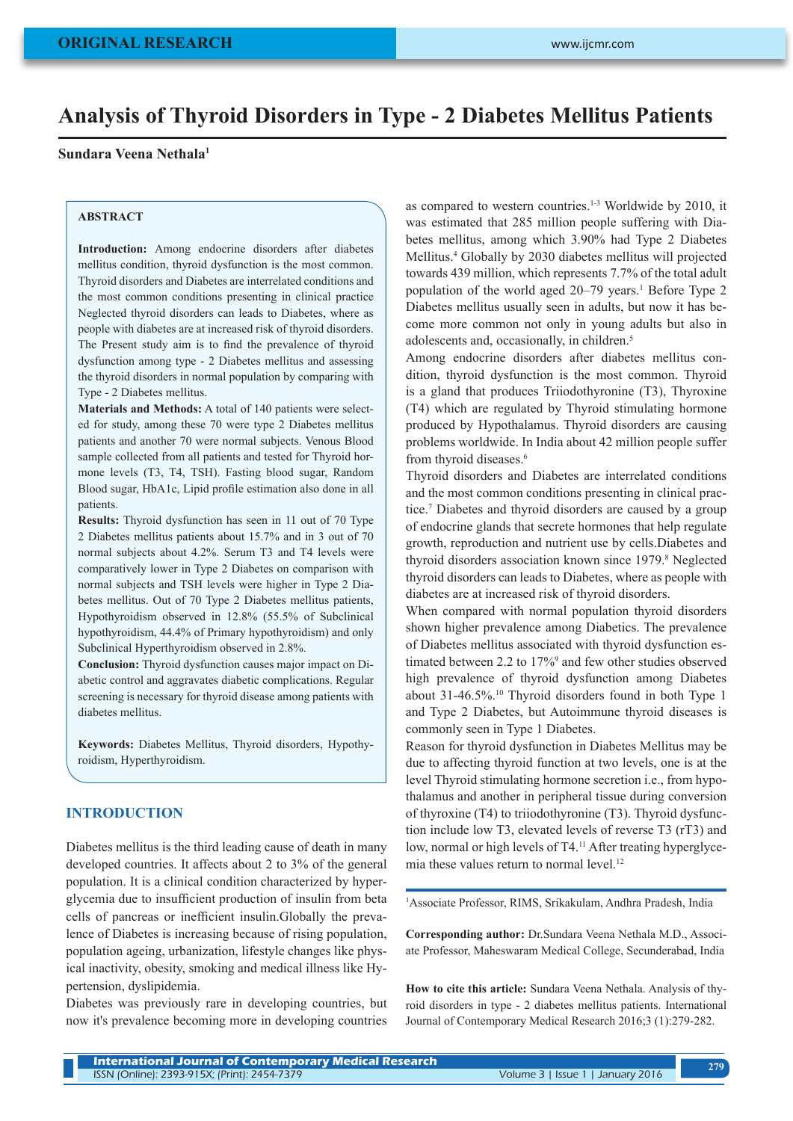# **Analysis of Thyroid Disorders in Type - 2 Diabetes Mellitus Patients**

# **Sundara Veena Nethala1**

#### **ABSTRACT**

**Introduction:** Among endocrine disorders after diabetes mellitus condition, thyroid dysfunction is the most common. Thyroid disorders and Diabetes are interrelated conditions and the most common conditions presenting in clinical practice Neglected thyroid disorders can leads to Diabetes, where as people with diabetes are at increased risk of thyroid disorders. The Present study aim is to find the prevalence of thyroid dysfunction among type - 2 Diabetes mellitus and assessing the thyroid disorders in normal population by comparing with Type - 2 Diabetes mellitus.

**Materials and Methods:** A total of 140 patients were selected for study, among these 70 were type 2 Diabetes mellitus patients and another 70 were normal subjects. Venous Blood sample collected from all patients and tested for Thyroid hormone levels (T3, T4, TSH). Fasting blood sugar, Random Blood sugar, HbA1c, Lipid profile estimation also done in all patients.

**Results:** Thyroid dysfunction has seen in 11 out of 70 Type 2 Diabetes mellitus patients about 15.7% and in 3 out of 70 normal subjects about 4.2%. Serum T3 and T4 levels were comparatively lower in Type 2 Diabetes on comparison with normal subjects and TSH levels were higher in Type 2 Diabetes mellitus. Out of 70 Type 2 Diabetes mellitus patients, Hypothyroidism observed in 12.8% (55.5% of Subclinical hypothyroidism, 44.4% of Primary hypothyroidism) and only Subclinical Hyperthyroidism observed in 2.8%.

**Conclusion:** Thyroid dysfunction causes major impact on Diabetic control and aggravates diabetic complications. Regular screening is necessary for thyroid disease among patients with diabetes mellitus.

**Keywords:** Diabetes Mellitus, Thyroid disorders, Hypothyroidism, Hyperthyroidism.

# **INTRODUCTION**

Diabetes mellitus is the third leading cause of death in many developed countries. It affects about 2 to 3% of the general population. It is a clinical condition characterized by hyperglycemia due to insufficient production of insulin from beta cells of pancreas or inefficient insulin.Globally the prevalence of Diabetes is increasing because of rising population, population ageing, urbanization, lifestyle changes like physical inactivity, obesity, smoking and medical illness like Hypertension, dyslipidemia.

Diabetes was previously rare in developing countries, but now it's prevalence becoming more in developing countries as compared to western countries.<sup>1-3</sup> Worldwide by 2010, it was estimated that 285 million people suffering with Diabetes mellitus, among which 3.90% had Type 2 Diabetes Mellitus.<sup>4</sup> Globally by 2030 diabetes mellitus will projected towards 439 million, which represents 7.7% of the total adult population of the world aged 20–79 years.<sup>1</sup> Before Type 2 Diabetes mellitus usually seen in adults, but now it has become more common not only in young adults but also in adolescents and, occasionally, in children.<sup>5</sup>

Among endocrine disorders after diabetes mellitus condition, thyroid dysfunction is the most common. Thyroid is a gland that produces Triiodothyronine (T3), Thyroxine (T4) which are regulated by Thyroid stimulating hormone produced by Hypothalamus. Thyroid disorders are causing problems worldwide. In India about 42 million people suffer from thyroid diseases.<sup>6</sup>

Thyroid disorders and Diabetes are interrelated conditions and the most common conditions presenting in clinical practice.7 Diabetes and thyroid disorders are caused by a group of endocrine glands that secrete hormones that help regulate growth, reproduction and nutrient use by cells.Diabetes and thyroid disorders association known since 1979.<sup>8</sup> Neglected thyroid disorders can leads to Diabetes, where as people with diabetes are at increased risk of thyroid disorders.

When compared with normal population thyroid disorders shown higher prevalence among Diabetics. The prevalence of Diabetes mellitus associated with thyroid dysfunction estimated between 2.2 to 17%<sup>9</sup> and few other studies observed high prevalence of thyroid dysfunction among Diabetes about 31-46.5%.10 Thyroid disorders found in both Type 1 and Type 2 Diabetes, but Autoimmune thyroid diseases is commonly seen in Type 1 Diabetes.

Reason for thyroid dysfunction in Diabetes Mellitus may be due to affecting thyroid function at two levels, one is at the level Thyroid stimulating hormone secretion i.e., from hypothalamus and another in peripheral tissue during conversion of thyroxine (T4) to triiodothyronine (T3). Thyroid dysfunction include low T3, elevated levels of reverse T3 (rT3) and low, normal or high levels of T4.<sup>11</sup> After treating hyperglycemia these values return to normal level.<sup>12</sup>

1 Associate Professor, RIMS, Srikakulam, Andhra Pradesh, India

**Corresponding author:** Dr.Sundara Veena Nethala M.D., Associate Professor, Maheswaram Medical College, Secunderabad, India

**How to cite this article:** Sundara Veena Nethala. Analysis of thyroid disorders in type - 2 diabetes mellitus patients. International Journal of Contemporary Medical Research 2016;3 (1):279-282.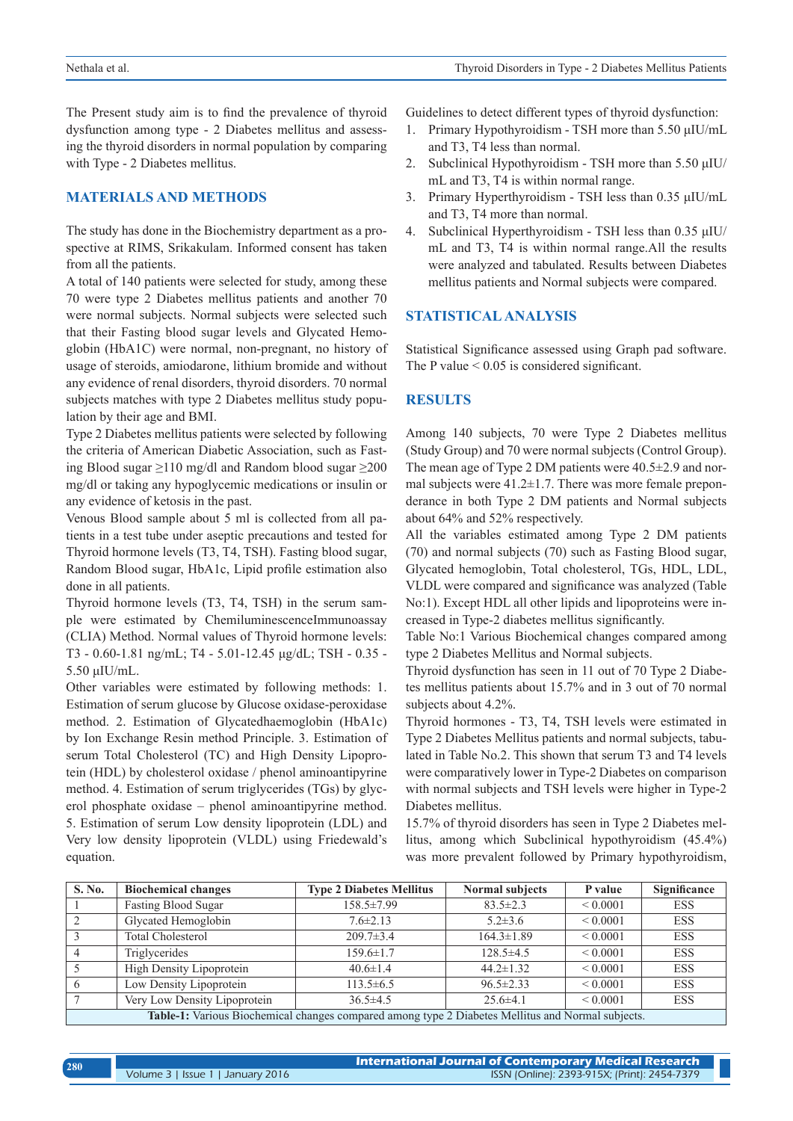The Present study aim is to find the prevalence of thyroid dysfunction among type - 2 Diabetes mellitus and assessing the thyroid disorders in normal population by comparing with Type - 2 Diabetes mellitus.

#### **MATERIALS AND METHODS**

The study has done in the Biochemistry department as a prospective at RIMS, Srikakulam. Informed consent has taken from all the patients.

A total of 140 patients were selected for study, among these 70 were type 2 Diabetes mellitus patients and another 70 were normal subjects. Normal subjects were selected such that their Fasting blood sugar levels and Glycated Hemoglobin (HbA1C) were normal, non-pregnant, no history of usage of steroids, amiodarone, lithium bromide and without any evidence of renal disorders, thyroid disorders. 70 normal subjects matches with type 2 Diabetes mellitus study population by their age and BMI.

Type 2 Diabetes mellitus patients were selected by following the criteria of American Diabetic Association, such as Fasting Blood sugar ≥110 mg/dl and Random blood sugar ≥200 mg/dl or taking any hypoglycemic medications or insulin or any evidence of ketosis in the past.

Venous Blood sample about 5 ml is collected from all patients in a test tube under aseptic precautions and tested for Thyroid hormone levels (T3, T4, TSH). Fasting blood sugar, Random Blood sugar, HbA1c, Lipid profile estimation also done in all patients.

Thyroid hormone levels (T3, T4, TSH) in the serum sample were estimated by ChemiluminescenceImmunoassay (CLIA) Method. Normal values of Thyroid hormone levels: T3 - 0.60-1.81 ng/mL; T4 - 5.01-12.45 μg/dL; TSH - 0.35 - 5.50 μIU/mL.

Other variables were estimated by following methods: 1. Estimation of serum glucose by Glucose oxidase-peroxidase method. 2. Estimation of Glycatedhaemoglobin (HbA1c) by Ion Exchange Resin method Principle. 3. Estimation of serum Total Cholesterol (TC) and High Density Lipoprotein (HDL) by cholesterol oxidase / phenol aminoantipyrine method. 4. Estimation of serum triglycerides (TGs) by glycerol phosphate oxidase – phenol aminoantipyrine method. 5. Estimation of serum Low density lipoprotein (LDL) and Very low density lipoprotein (VLDL) using Friedewald's equation.

Guidelines to detect different types of thyroid dysfunction:

- 1. Primary Hypothyroidism TSH more than 5.50 μIU/mL and T3, T4 less than normal.
- 2. Subclinical Hypothyroidism TSH more than 5.50 μIU/ mL and T3, T4 is within normal range.
- 3. Primary Hyperthyroidism TSH less than 0.35 μIU/mL and T3, T4 more than normal.
- 4. Subclinical Hyperthyroidism TSH less than 0.35 μIU/ mL and T3, T4 is within normal range.All the results were analyzed and tabulated. Results between Diabetes mellitus patients and Normal subjects were compared.

### **STATISTICAL ANALYSIS**

Statistical Significance assessed using Graph pad software. The P value  $\leq 0.05$  is considered significant.

# **RESULTS**

Among 140 subjects, 70 were Type 2 Diabetes mellitus (Study Group) and 70 were normal subjects (Control Group). The mean age of Type 2 DM patients were 40.5±2.9 and normal subjects were  $41.2 \pm 1.7$ . There was more female preponderance in both Type 2 DM patients and Normal subjects about 64% and 52% respectively.

All the variables estimated among Type 2 DM patients (70) and normal subjects (70) such as Fasting Blood sugar, Glycated hemoglobin, Total cholesterol, TGs, HDL, LDL, VLDL were compared and significance was analyzed (Table No:1). Except HDL all other lipids and lipoproteins were increased in Type-2 diabetes mellitus significantly.

Table No:1 Various Biochemical changes compared among type 2 Diabetes Mellitus and Normal subjects.

Thyroid dysfunction has seen in 11 out of 70 Type 2 Diabetes mellitus patients about 15.7% and in 3 out of 70 normal subjects about 4.2%.

Thyroid hormones - T3, T4, TSH levels were estimated in Type 2 Diabetes Mellitus patients and normal subjects, tabulated in Table No.2. This shown that serum T3 and T4 levels were comparatively lower in Type-2 Diabetes on comparison with normal subjects and TSH levels were higher in Type-2 Diabetes mellitus.

15.7% of thyroid disorders has seen in Type 2 Diabetes mellitus, among which Subclinical hypothyroidism (45.4%) was more prevalent followed by Primary hypothyroidism,

| <b>S. No.</b>                                                                                     | <b>Biochemical changes</b>   | <b>Type 2 Diabetes Mellitus</b> | Normal subjects  | P value       | Significance |  |  |
|---------------------------------------------------------------------------------------------------|------------------------------|---------------------------------|------------------|---------------|--------------|--|--|
|                                                                                                   | <b>Fasting Blood Sugar</b>   | 158.5±7.99                      | $83.5 \pm 2.3$   | ${}< 0.0001$  | <b>ESS</b>   |  |  |
| 2                                                                                                 | Glycated Hemoglobin          | $7.6 \pm 2.13$                  | $5.2 \pm 3.6$    | $\leq 0.0001$ | <b>ESS</b>   |  |  |
|                                                                                                   | <b>Total Cholesterol</b>     | $209.7 \pm 3.4$                 | $164.3 \pm 1.89$ | $\leq 0.0001$ | <b>ESS</b>   |  |  |
| $\overline{4}$                                                                                    | Triglycerides                | $159.6 \pm 1.7$                 | $128.5 \pm 4.5$  | < 0.0001      | <b>ESS</b>   |  |  |
|                                                                                                   | High Density Lipoprotein     | $40.6 \pm 1.4$                  | $44.2 \pm 1.32$  | ${}< 0.0001$  | <b>ESS</b>   |  |  |
| -6                                                                                                | Low Density Lipoprotein      | $113.5 \pm 6.5$                 | $96.5 \pm 2.33$  | $\leq 0.0001$ | <b>ESS</b>   |  |  |
|                                                                                                   | Very Low Density Lipoprotein | $36.5 \pm 4.5$                  | $25.6\pm4.1$     | ${}< 0.0001$  | <b>ESS</b>   |  |  |
| Table-1: Various Biochemical changes compared among type 2 Diabetes Mellitus and Normal subjects. |                              |                                 |                  |               |              |  |  |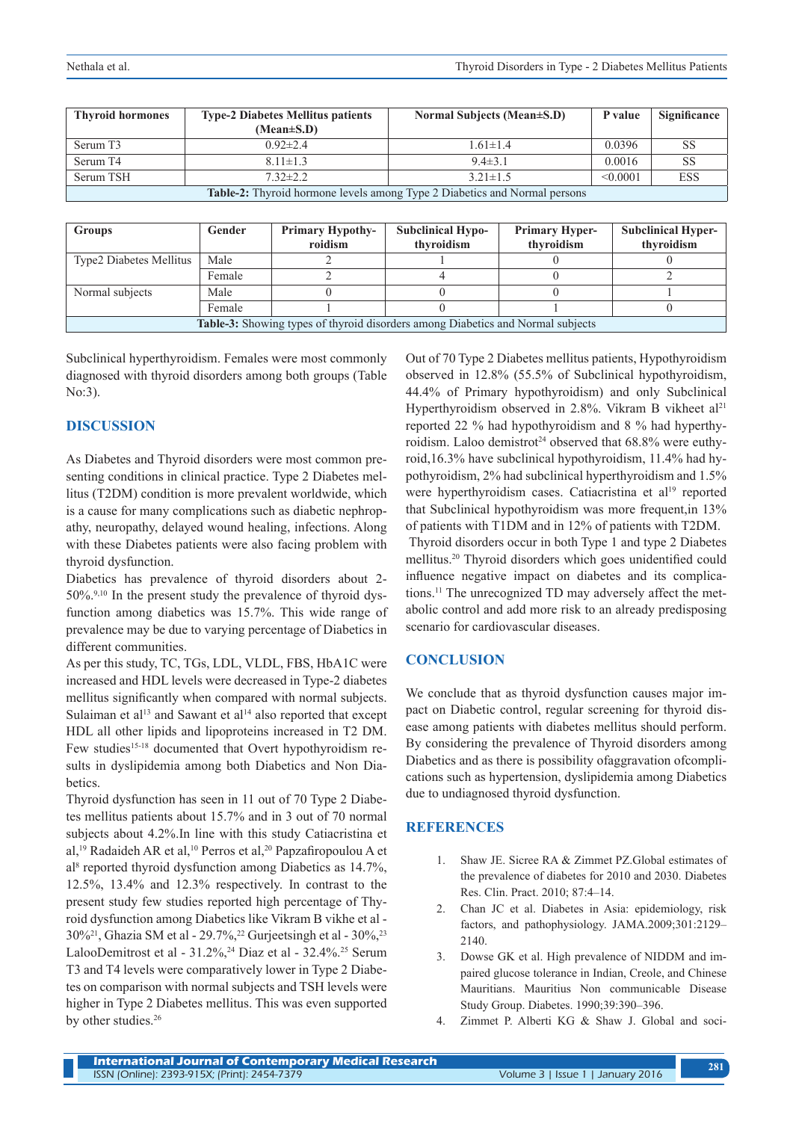| <b>Thyroid hormones</b>                                                   | <b>Type-2 Diabetes Mellitus patients</b> | Normal Subjects (Mean±S.D) | P value  | <b>Significance</b> |  |  |  |  |
|---------------------------------------------------------------------------|------------------------------------------|----------------------------|----------|---------------------|--|--|--|--|
|                                                                           | $(Mean \pm S.D)$                         |                            |          |                     |  |  |  |  |
| Serum T3                                                                  | $0.92 \pm 2.4$                           | $1.61 \pm 1.4$             | 0.0396   | <b>SS</b>           |  |  |  |  |
| Serum T4                                                                  | $8.11 \pm 1.3$                           | $9.4 \pm 3.1$              | 0.0016   | <b>SS</b>           |  |  |  |  |
| Serum TSH                                                                 | $732\pm 22$                              | $3.21 \pm 1.5$             | < 0.0001 | <b>ESS</b>          |  |  |  |  |
| Table-2: Thyroid hormone levels among Type 2 Diabetics and Normal persons |                                          |                            |          |                     |  |  |  |  |

| <b>Groups</b>                                                                          | Gender | <b>Primary Hypothy-</b><br>roidism | <b>Subclinical Hypo-</b><br>thyroidism | <b>Primary Hyper-</b><br>thyroidism | <b>Subclinical Hyper-</b><br>thyroidism |  |  |  |
|----------------------------------------------------------------------------------------|--------|------------------------------------|----------------------------------------|-------------------------------------|-----------------------------------------|--|--|--|
| Type2 Diabetes Mellitus                                                                | Male   |                                    |                                        |                                     |                                         |  |  |  |
|                                                                                        | Female |                                    |                                        |                                     |                                         |  |  |  |
| Normal subjects                                                                        | Male   |                                    |                                        |                                     |                                         |  |  |  |
|                                                                                        | Female |                                    |                                        |                                     |                                         |  |  |  |
| <b>Table-3:</b> Showing types of thyroid disorders among Diabetics and Normal subjects |        |                                    |                                        |                                     |                                         |  |  |  |

Subclinical hyperthyroidism. Females were most commonly diagnosed with thyroid disorders among both groups (Table No:3).

#### **DISCUSSION**

As Diabetes and Thyroid disorders were most common presenting conditions in clinical practice. Type 2 Diabetes mellitus (T2DM) condition is more prevalent worldwide, which is a cause for many complications such as diabetic nephropathy, neuropathy, delayed wound healing, infections. Along with these Diabetes patients were also facing problem with thyroid dysfunction.

Diabetics has prevalence of thyroid disorders about 2-  $50\%$ .<sup>9,10</sup> In the present study the prevalence of thyroid dysfunction among diabetics was 15.7%. This wide range of prevalence may be due to varying percentage of Diabetics in different communities.

As per this study, TC, TGs, LDL, VLDL, FBS, HbA1C were increased and HDL levels were decreased in Type-2 diabetes mellitus significantly when compared with normal subjects. Sulaiman et al<sup>13</sup> and Sawant et al<sup>14</sup> also reported that except HDL all other lipids and lipoproteins increased in T2 DM. Few studies<sup>15-18</sup> documented that Overt hypothyroidism results in dyslipidemia among both Diabetics and Non Diabetics.

Thyroid dysfunction has seen in 11 out of 70 Type 2 Diabetes mellitus patients about 15.7% and in 3 out of 70 normal subjects about 4.2%.In line with this study Catiacristina et al,<sup>19</sup> Radaideh AR et al,<sup>10</sup> Perros et al,<sup>20</sup> Papzafiropoulou A et al8 reported thyroid dysfunction among Diabetics as 14.7%, 12.5%, 13.4% and 12.3% respectively. In contrast to the present study few studies reported high percentage of Thyroid dysfunction among Diabetics like Vikram B vikhe et al - 30%<sup>21</sup>, Ghazia SM et al - 29.7%,<sup>22</sup> Gurjeetsingh et al - 30%,<sup>23</sup> LalooDemitrost et al -  $31.2\%$ ,<sup>24</sup> Diaz et al -  $32.4\%$ .<sup>25</sup> Serum T3 and T4 levels were comparatively lower in Type 2 Diabetes on comparison with normal subjects and TSH levels were higher in Type 2 Diabetes mellitus. This was even supported by other studies.<sup>26</sup>

Out of 70 Type 2 Diabetes mellitus patients, Hypothyroidism observed in 12.8% (55.5% of Subclinical hypothyroidism, 44.4% of Primary hypothyroidism) and only Subclinical Hyperthyroidism observed in 2.8%. Vikram B vikheet al<sup>21</sup> reported 22 % had hypothyroidism and 8 % had hyperthyroidism. Laloo demistrot<sup>24</sup> observed that  $68.8\%$  were euthyroid,16.3% have subclinical hypothyroidism, 11.4% had hypothyroidism, 2% had subclinical hyperthyroidism and 1.5% were hyperthyroidism cases. Catiacristina et al<sup>19</sup> reported that Subclinical hypothyroidism was more frequent,in 13% of patients with T1DM and in 12% of patients with T2DM.

 Thyroid disorders occur in both Type 1 and type 2 Diabetes mellitus.20 Thyroid disorders which goes unidentified could influence negative impact on diabetes and its complications.11 The unrecognized TD may adversely affect the metabolic control and add more risk to an already predisposing scenario for cardiovascular diseases.

#### **CONCLUSION**

We conclude that as thyroid dysfunction causes major impact on Diabetic control, regular screening for thyroid disease among patients with diabetes mellitus should perform. By considering the prevalence of Thyroid disorders among Diabetics and as there is possibility ofaggravation ofcomplications such as hypertension, dyslipidemia among Diabetics due to undiagnosed thyroid dysfunction.

#### **REFERENCES**

- 1. Shaw JE. Sicree RA & Zimmet PZ.Global estimates of the prevalence of diabetes for 2010 and 2030. Diabetes Res. Clin. Pract. 2010; 87:4–14.
- 2. Chan JC et al. Diabetes in Asia: epidemiology, risk factors, and pathophysiology. JAMA.2009;301:2129– 2140.
- 3. Dowse GK et al. High prevalence of NIDDM and impaired glucose tolerance in Indian, Creole, and Chinese Mauritians. Mauritius Non communicable Disease Study Group. Diabetes. 1990;39:390–396.
- 4. Zimmet P. Alberti KG & Shaw J. Global and soci-